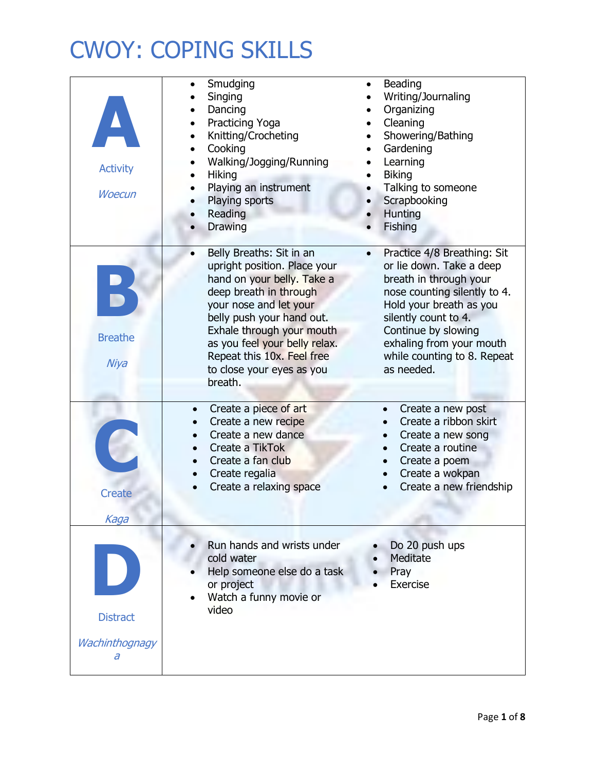| <b>Activity</b><br><b>Woecun</b>       | Smudging<br>Singing<br>Dancing<br>Practicing Yoga<br>Knitting/Crocheting<br>Cooking<br>Walking/Jogging/Running<br><b>Hiking</b><br>Playing an instrument<br>Playing sports<br>Reading<br>Drawing                                                                                                                         | Beading<br>Writing/Journaling<br>Organizing<br>Cleaning<br>Showering/Bathing<br>Gardening<br>$\bullet$<br>Learning<br><b>Biking</b><br>Talking to someone<br>Scrapbooking<br>Hunting<br>Fishing                                                                                   |
|----------------------------------------|--------------------------------------------------------------------------------------------------------------------------------------------------------------------------------------------------------------------------------------------------------------------------------------------------------------------------|-----------------------------------------------------------------------------------------------------------------------------------------------------------------------------------------------------------------------------------------------------------------------------------|
| <b>Breathe</b><br>Niya                 | Belly Breaths: Sit in an<br>$\bullet$<br>upright position. Place your<br>hand on your belly. Take a<br>deep breath in through<br>your nose and let your<br>belly push your hand out.<br>Exhale through your mouth<br>as you feel your belly relax.<br>Repeat this 10x. Feel free<br>to close your eyes as you<br>breath. | Practice 4/8 Breathing: Sit<br>$\bullet$<br>or lie down. Take a deep<br>breath in through your<br>nose counting silently to 4.<br>Hold your breath as you<br>silently count to 4.<br>Continue by slowing<br>exhaling from your mouth<br>while counting to 8. Repeat<br>as needed. |
| <b>Create</b><br>Kaga                  | Create a piece of art<br>$\bullet$<br>Create a new recipe<br>Create a new dance<br>Create a TikTok<br>Create a fan club<br>Create regalia<br>Create a relaxing space                                                                                                                                                     | Create a new post<br>$\bullet$<br>Create a ribbon skirt<br>Create a new song<br>Create a routine<br>Create a poem<br>Create a wokpan<br>Create a new friendship                                                                                                                   |
| <b>Distract</b><br>Wachinthognagy<br>а | Run hands and wrists under<br>cold water<br>Help someone else do a task<br>or project<br>Watch a funny movie or<br>video                                                                                                                                                                                                 | Do 20 push ups<br>Meditate<br>Pray<br>Exercise                                                                                                                                                                                                                                    |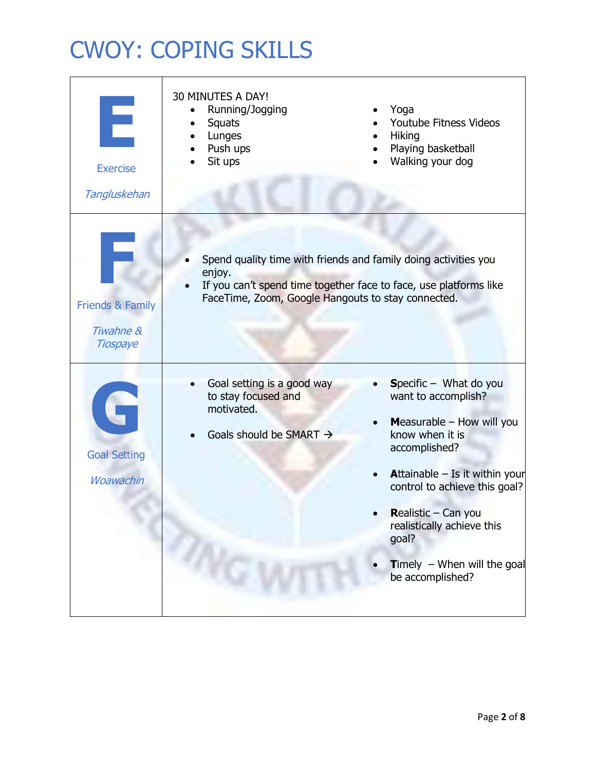| Е<br><b>Exercise</b><br>Tangluskehan                        | 30 MINUTES A DAY!<br>Running/Jogging<br>Squats<br>Lunges<br>Push ups<br>Sit ups                        | Yoga<br>Youtube Fitness Videos<br><b>Hiking</b><br>Playing basketball<br>Walking your dog                                                                                                                                                                                                                     |
|-------------------------------------------------------------|--------------------------------------------------------------------------------------------------------|---------------------------------------------------------------------------------------------------------------------------------------------------------------------------------------------------------------------------------------------------------------------------------------------------------------|
| <b>Friends &amp; Family</b><br>Tiwahne &<br><b>Tiospaye</b> | enjoy.<br>FaceTime, Zoom, Google Hangouts to stay connected.                                           | Spend quality time with friends and family doing activities you<br>If you can't spend time together face to face, use platforms like                                                                                                                                                                          |
| G<br><b>Goal Setting</b><br><b>Woawachin</b>                | Goal setting is a good way<br>to stay focused and<br>motivated.<br>Goals should be SMART $\rightarrow$ | Specific $-$ What do you<br>want to accomplish?<br>Measurable - How will you<br>know when it is<br>accomplished?<br><b>Attainable - Is it within your</b><br>control to achieve this goal?<br>Realistic - Can you<br>realistically achieve this<br>goal?<br>Timely $-$ When will the goal<br>be accomplished? |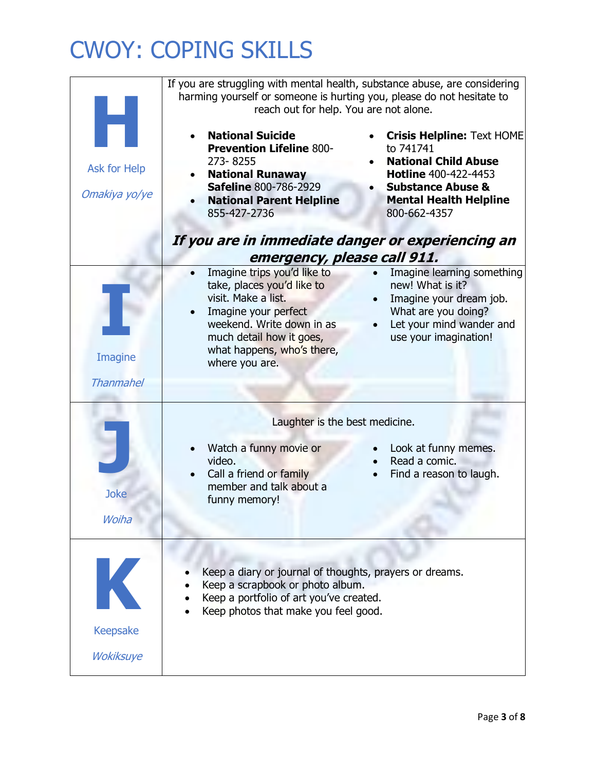|                                                                                  | If you are struggling with mental health, substance abuse, are considering<br>harming yourself or someone is hurting you, please do not hesitate to<br>reach out for help. You are not alone.                     |                                                                                                                                                                                        |  |
|----------------------------------------------------------------------------------|-------------------------------------------------------------------------------------------------------------------------------------------------------------------------------------------------------------------|----------------------------------------------------------------------------------------------------------------------------------------------------------------------------------------|--|
| Ask for Help<br>Omakiya yo/ye                                                    | <b>National Suicide</b><br><b>Prevention Lifeline 800-</b><br>273-8255<br><b>National Runaway</b><br><b>Safeline 800-786-2929</b><br><b>National Parent Helpline</b><br>855-427-2736                              | <b>Crisis Helpline: Text HOME</b><br>to 741741<br><b>National Child Abuse</b><br>Hotline 400-422-4453<br><b>Substance Abuse &amp;</b><br><b>Mental Health Helpline</b><br>800-662-4357 |  |
| If you are in immediate danger or experiencing an<br>emergency, please call 911. |                                                                                                                                                                                                                   |                                                                                                                                                                                        |  |
| Imagine<br><b>Thanmahel</b>                                                      | Imagine trips you'd like to<br>take, places you'd like to<br>visit. Make a list.<br>Imagine your perfect<br>weekend. Write down in as<br>much detail how it goes,<br>what happens, who's there,<br>where you are. | Imagine learning something<br>new! What is it?<br>Imagine your dream job.<br>What are you doing?<br>Let your mind wander and<br>use your imagination!                                  |  |
|                                                                                  | Laughter is the best medicine.<br>Watch a funny movie or<br>Look at funny memes.                                                                                                                                  |                                                                                                                                                                                        |  |
| <b>Joke</b><br>Woiha                                                             | video.<br>Call a friend or family<br>member and talk about a<br>funny memory!                                                                                                                                     | Read a comic.<br>Find a reason to laugh.                                                                                                                                               |  |
| K<br><b>Keepsake</b>                                                             | Keep a diary or journal of thoughts, prayers or dreams.<br>Keep a scrapbook or photo album.<br>Keep a portfolio of art you've created.<br>Keep photos that make you feel good.                                    |                                                                                                                                                                                        |  |
| <b>Wokiksuye</b>                                                                 |                                                                                                                                                                                                                   |                                                                                                                                                                                        |  |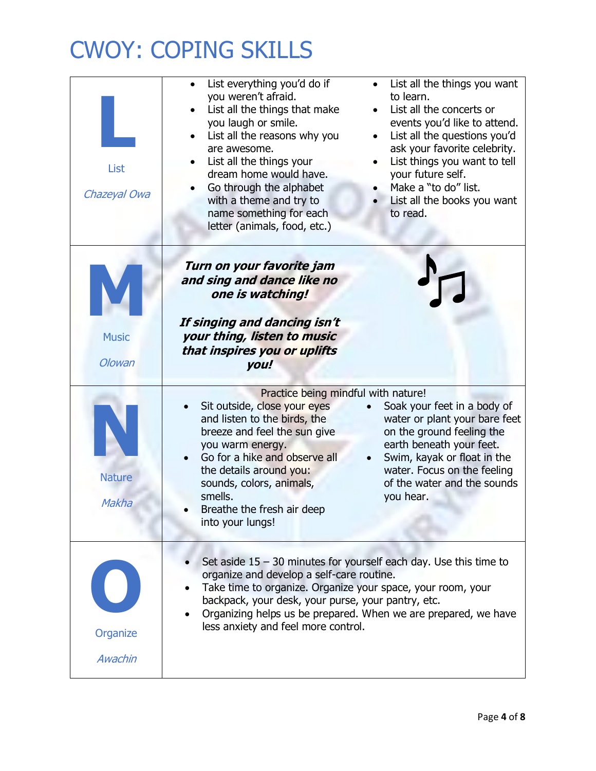| List<br>Chazeyal Owa   | List everything you'd do if<br>List all the things you want<br>you weren't afraid.<br>to learn.<br>List all the concerts or<br>List all the things that make<br>you laugh or smile.<br>events you'd like to attend.<br>List all the reasons why you<br>List all the questions you'd<br>$\bullet$<br>ask your favorite celebrity.<br>are awesome.<br>List things you want to tell<br>List all the things your<br>dream home would have.<br>your future self.<br>Make a "to do" list.<br>Go through the alphabet<br>with a theme and try to<br>List all the books you want<br>name something for each<br>to read.<br>letter (animals, food, etc.) |
|------------------------|-------------------------------------------------------------------------------------------------------------------------------------------------------------------------------------------------------------------------------------------------------------------------------------------------------------------------------------------------------------------------------------------------------------------------------------------------------------------------------------------------------------------------------------------------------------------------------------------------------------------------------------------------|
| <b>Music</b><br>Olowan | Turn on your favorite jam<br>and sing and dance like no<br>one is watching!<br>If singing and dancing isn't<br>your thing, listen to music<br>that inspires you or uplifts<br>you!                                                                                                                                                                                                                                                                                                                                                                                                                                                              |
| <b>Nature</b><br>Makha | Practice being mindful with nature!<br>Sit outside, close your eyes<br>Soak your feet in a body of<br>and listen to the birds, the<br>water or plant your bare feet<br>on the ground feeling the<br>breeze and feel the sun give<br>earth beneath your feet.<br>you warm energy.<br>Go for a hike and observe all<br>Swim, kayak or float in the<br>water. Focus on the feeling<br>the details around you:<br>of the water and the sounds<br>sounds, colors, animals,<br>smells.<br>you hear.<br>Breathe the fresh air deep<br>into your lungs!                                                                                                 |
| Organize<br>Awachin    | Set aside $15 - 30$ minutes for yourself each day. Use this time to<br>organize and develop a self-care routine.<br>Take time to organize. Organize your space, your room, your<br>backpack, your desk, your purse, your pantry, etc.<br>Organizing helps us be prepared. When we are prepared, we have<br>less anxiety and feel more control.                                                                                                                                                                                                                                                                                                  |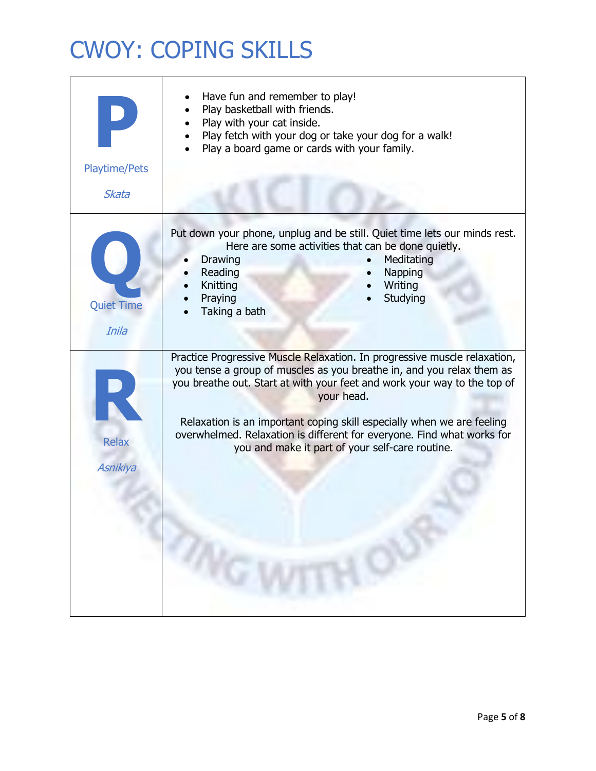| <b>Playtime/Pets</b><br>Skata | Have fun and remember to play!<br>Play basketball with friends.<br>Play with your cat inside.<br>Play fetch with your dog or take your dog for a walk!<br>Play a board game or cards with your family.                                                                                                                                                                                                                                              |
|-------------------------------|-----------------------------------------------------------------------------------------------------------------------------------------------------------------------------------------------------------------------------------------------------------------------------------------------------------------------------------------------------------------------------------------------------------------------------------------------------|
| <b>Quiet Time</b><br>Inila    | Put down your phone, unplug and be still. Quiet time lets our minds rest.<br>Here are some activities that can be done quietly.<br>Meditating<br>Drawing<br>Reading<br>Napping<br>Knitting<br>Writing<br>Praying<br>Studying<br>Taking a bath                                                                                                                                                                                                       |
| <b>Relax</b><br>Asnikiya      | Practice Progressive Muscle Relaxation. In progressive muscle relaxation,<br>you tense a group of muscles as you breathe in, and you relax them as<br>you breathe out. Start at with your feet and work your way to the top of<br>your head.<br>Relaxation is an important coping skill especially when we are feeling<br>overwhelmed. Relaxation is different for everyone. Find what works for<br>you and make it part of your self-care routine. |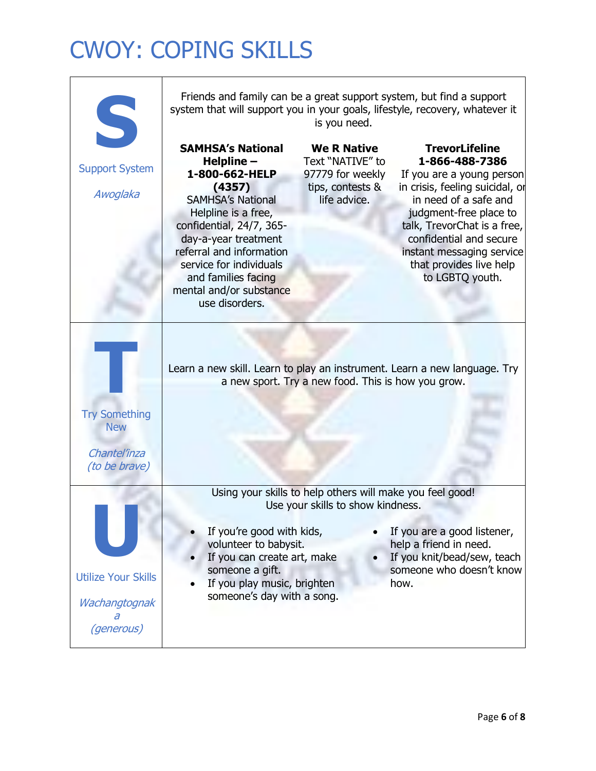| S                                                                          | Friends and family can be a great support system, but find a support<br>system that will support you in your goals, lifestyle, recovery, whatever it<br>is you need.                                                                                                                                 |                                                                                                |                                                                                                                                                                                                                                                                                                 |
|----------------------------------------------------------------------------|------------------------------------------------------------------------------------------------------------------------------------------------------------------------------------------------------------------------------------------------------------------------------------------------------|------------------------------------------------------------------------------------------------|-------------------------------------------------------------------------------------------------------------------------------------------------------------------------------------------------------------------------------------------------------------------------------------------------|
| <b>Support System</b><br>Awoglaka                                          | <b>SAMHSA's National</b><br>Helpline -<br>1-800-662-HELP<br>(4357)<br><b>SAMHSA's National</b><br>Helpline is a free,<br>confidential, 24/7, 365-<br>day-a-year treatment<br>referral and information<br>service for individuals<br>and families facing<br>mental and/or substance<br>use disorders. | <b>We R Native</b><br>Text "NATIVE" to<br>97779 for weekly<br>tips, contests &<br>life advice. | <b>TrevorLifeline</b><br>1-866-488-7386<br>If you are a young person<br>in crisis, feeling suicidal, or<br>in need of a safe and<br>judgment-free place to<br>talk, TrevorChat is a free,<br>confidential and secure<br>instant messaging service<br>that provides live help<br>to LGBTQ youth. |
| <b>Try Something</b><br><b>New</b><br>Chantel'inza<br><i>(to be brave)</i> | Learn a new skill. Learn to play an instrument. Learn a new language. Try                                                                                                                                                                                                                            | a new sport. Try a new food. This is how you grow.                                             |                                                                                                                                                                                                                                                                                                 |
| <b>Utilize Your Skills</b><br>Wachangtognak<br><i>(generous)</i>           | If you're good with kids,<br>volunteer to babysit.<br>If you can create art, make<br>someone a gift.<br>If you play music, brighten<br>someone's day with a song.                                                                                                                                    | Using your skills to help others will make you feel good!<br>Use your skills to show kindness. | If you are a good listener,<br>help a friend in need.<br>If you knit/bead/sew, teach<br>someone who doesn't know<br>how.                                                                                                                                                                        |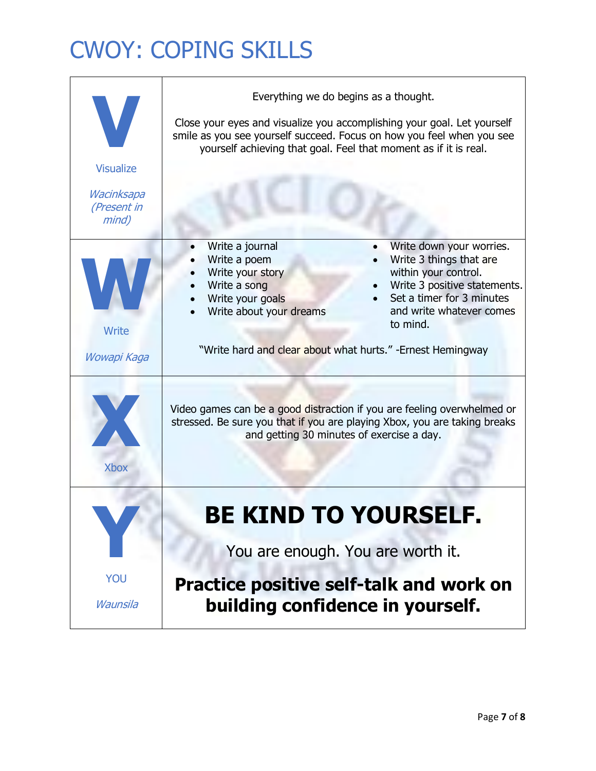| Everything we do begins as a thought.<br>Close your eyes and visualize you accomplishing your goal. Let yourself<br>smile as you see yourself succeed. Focus on how you feel when you see<br>yourself achieving that goal. Feel that moment as if it is real. |
|---------------------------------------------------------------------------------------------------------------------------------------------------------------------------------------------------------------------------------------------------------------|
| Write a journal<br>Write down your worries.                                                                                                                                                                                                                   |
| Write 3 things that are<br>Write a poem<br>Write your story<br>within your control.<br>Write a song<br>Write 3 positive statements.<br>Set a timer for 3 minutes<br>Write your goals<br>Write about your dreams<br>and write whatever comes<br>to mind.       |
| "Write hard and clear about what hurts." -Ernest Hemingway                                                                                                                                                                                                    |
| Video games can be a good distraction if you are feeling overwhelmed or<br>stressed. Be sure you that if you are playing Xbox, you are taking breaks<br>and getting 30 minutes of exercise a day.                                                             |
| BE KIND TU TUUKSELF.                                                                                                                                                                                                                                          |
| You are enough. You are worth it.<br><b>Practice positive self-talk and work on</b><br>building confidence in yourself.                                                                                                                                       |
|                                                                                                                                                                                                                                                               |